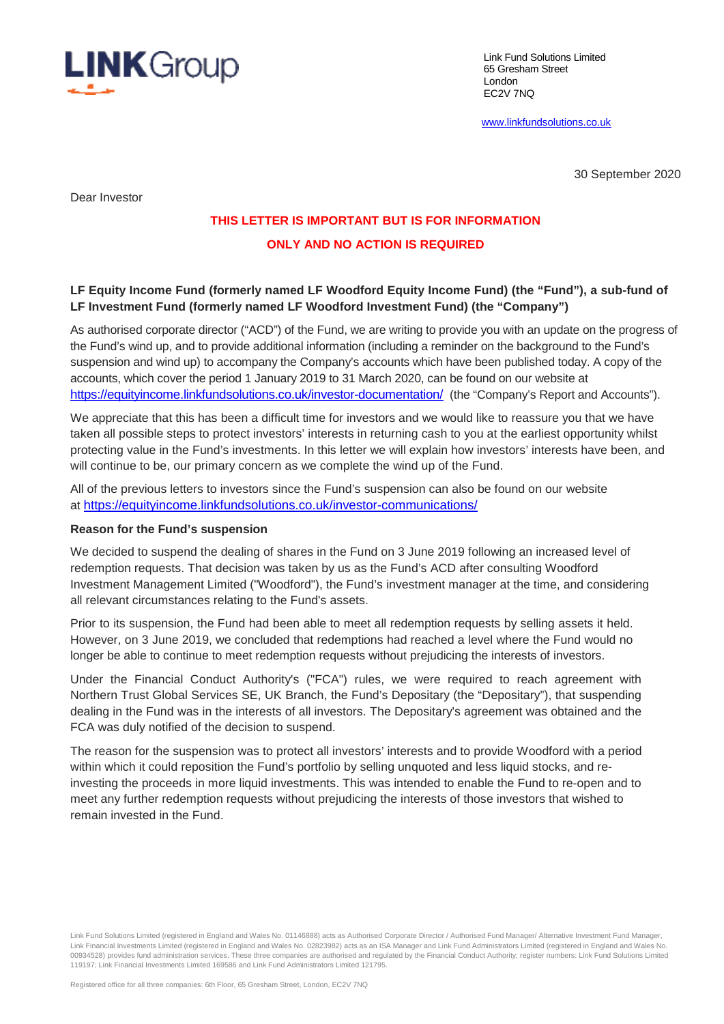

Link Fund Solutions Limited 65 Gresham Street London EC2V 7NQ

www.linkfundsolutions.co.uk

30 September 2020

Dear Investor

# **THIS LETTER IS IMPORTANT BUT IS FOR INFORMATION**

## **ONLY AND NO ACTION IS REQUIRED**

## **LF Equity Income Fund (formerly named LF Woodford Equity Income Fund) (the "Fund"), a sub-fund of LF Investment Fund (formerly named LF Woodford Investment Fund) (the "Company")**

As authorised corporate director ("ACD") of the Fund, we are writing to provide you with an update on the progress of the Fund's wind up, and to provide additional information (including a reminder on the background to the Fund's suspension and wind up) to accompany the Company's accounts which have been published today. A copy of the accounts, which cover the period 1 January 2019 to 31 March 2020, can be found on our website at https://equityincome.linkfundsolutions.co.uk/investor-documentation/ (the "Company's Report and Accounts").

We appreciate that this has been a difficult time for investors and we would like to reassure you that we have taken all possible steps to protect investors' interests in returning cash to you at the earliest opportunity whilst protecting value in the Fund's investments. In this letter we will explain how investors' interests have been, and will continue to be, our primary concern as we complete the wind up of the Fund.

All of the previous letters to investors since the Fund's suspension can also be found on our website at https://equityincome.linkfundsolutions.co.uk/investor-communications/

#### **Reason for the Fund's suspension**

We decided to suspend the dealing of shares in the Fund on 3 June 2019 following an increased level of redemption requests. That decision was taken by us as the Fund's ACD after consulting Woodford Investment Management Limited ("Woodford"), the Fund's investment manager at the time, and considering all relevant circumstances relating to the Fund's assets.

Prior to its suspension, the Fund had been able to meet all redemption requests by selling assets it held. However, on 3 June 2019, we concluded that redemptions had reached a level where the Fund would no longer be able to continue to meet redemption requests without prejudicing the interests of investors.

Under the Financial Conduct Authority's ("FCA") rules, we were required to reach agreement with Northern Trust Global Services SE, UK Branch, the Fund's Depositary (the "Depositary"), that suspending dealing in the Fund was in the interests of all investors. The Depositary's agreement was obtained and the FCA was duly notified of the decision to suspend.

The reason for the suspension was to protect all investors' interests and to provide Woodford with a period within which it could reposition the Fund's portfolio by selling unquoted and less liquid stocks, and reinvesting the proceeds in more liquid investments. This was intended to enable the Fund to re-open and to meet any further redemption requests without prejudicing the interests of those investors that wished to remain invested in the Fund.

Link Fund Solutions Limited (registered in England and Wales No. 01146888) acts as Authorised Corporate Director / Authorised Fund Manager/ Alternative Investment Fund Manager, Link Financial Investments Limited (registered in England and Wales No. 02823982) acts as an ISA Manager and Link Fund Administrators Limited (registered in England and Wales No. 00934528) provides fund administration services. These three companies are authorised and regulated by the Financial Conduct Authority; register numbers: Link Fund Solutions Limited 119197; Link Financial Investments Limited 169586 and Link Fund Administrators Limited 121795.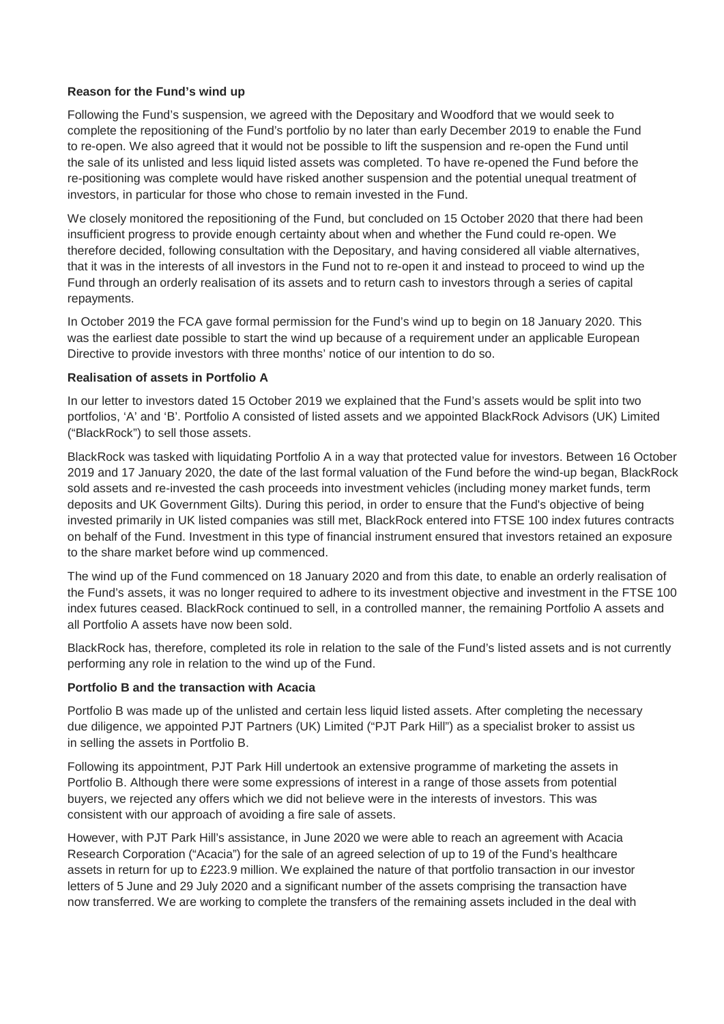#### **Reason for the Fund's wind up**

Following the Fund's suspension, we agreed with the Depositary and Woodford that we would seek to complete the repositioning of the Fund's portfolio by no later than early December 2019 to enable the Fund to re-open. We also agreed that it would not be possible to lift the suspension and re-open the Fund until the sale of its unlisted and less liquid listed assets was completed. To have re-opened the Fund before the re-positioning was complete would have risked another suspension and the potential unequal treatment of investors, in particular for those who chose to remain invested in the Fund.

We closely monitored the repositioning of the Fund, but concluded on 15 October 2020 that there had been insufficient progress to provide enough certainty about when and whether the Fund could re-open. We therefore decided, following consultation with the Depositary, and having considered all viable alternatives, that it was in the interests of all investors in the Fund not to re-open it and instead to proceed to wind up the Fund through an orderly realisation of its assets and to return cash to investors through a series of capital repayments.

In October 2019 the FCA gave formal permission for the Fund's wind up to begin on 18 January 2020. This was the earliest date possible to start the wind up because of a requirement under an applicable European Directive to provide investors with three months' notice of our intention to do so.

### **Realisation of assets in Portfolio A**

In our letter to investors dated 15 October 2019 we explained that the Fund's assets would be split into two portfolios, 'A' and 'B'. Portfolio A consisted of listed assets and we appointed BlackRock Advisors (UK) Limited ("BlackRock") to sell those assets.

BlackRock was tasked with liquidating Portfolio A in a way that protected value for investors. Between 16 October 2019 and 17 January 2020, the date of the last formal valuation of the Fund before the wind-up began, BlackRock sold assets and re-invested the cash proceeds into investment vehicles (including money market funds, term deposits and UK Government Gilts). During this period, in order to ensure that the Fund's objective of being invested primarily in UK listed companies was still met, BlackRock entered into FTSE 100 index futures contracts on behalf of the Fund. Investment in this type of financial instrument ensured that investors retained an exposure to the share market before wind up commenced.

The wind up of the Fund commenced on 18 January 2020 and from this date, to enable an orderly realisation of the Fund's assets, it was no longer required to adhere to its investment objective and investment in the FTSE 100 index futures ceased. BlackRock continued to sell, in a controlled manner, the remaining Portfolio A assets and all Portfolio A assets have now been sold.

BlackRock has, therefore, completed its role in relation to the sale of the Fund's listed assets and is not currently performing any role in relation to the wind up of the Fund.

#### **Portfolio B and the transaction with Acacia**

Portfolio B was made up of the unlisted and certain less liquid listed assets. After completing the necessary due diligence, we appointed PJT Partners (UK) Limited ("PJT Park Hill") as a specialist broker to assist us in selling the assets in Portfolio B.

Following its appointment, PJT Park Hill undertook an extensive programme of marketing the assets in Portfolio B. Although there were some expressions of interest in a range of those assets from potential buyers, we rejected any offers which we did not believe were in the interests of investors. This was consistent with our approach of avoiding a fire sale of assets.

However, with PJT Park Hill's assistance, in June 2020 we were able to reach an agreement with Acacia Research Corporation ("Acacia") for the sale of an agreed selection of up to 19 of the Fund's healthcare assets in return for up to £223.9 million. We explained the nature of that portfolio transaction in our investor letters of 5 June and 29 July 2020 and a significant number of the assets comprising the transaction have now transferred. We are working to complete the transfers of the remaining assets included in the deal with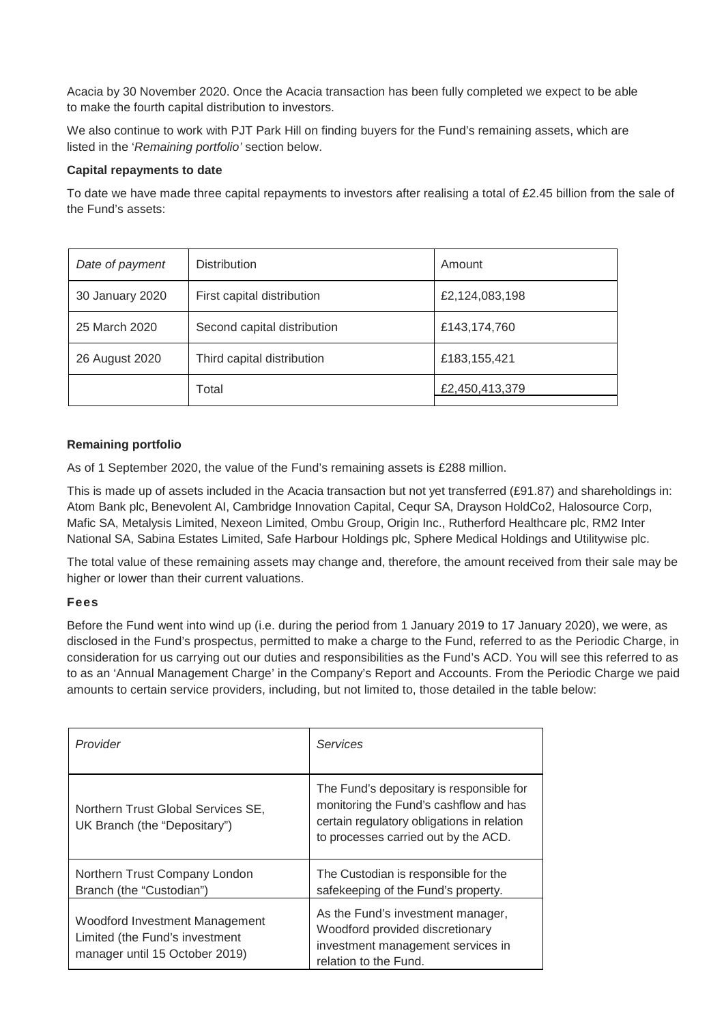Acacia by 30 November 2020. Once the Acacia transaction has been fully completed we expect to be able to make the fourth capital distribution to investors.

We also continue to work with PJT Park Hill on finding buyers for the Fund's remaining assets, which are listed in the '*Remaining portfolio'* section below.

#### **Capital repayments to date**

To date we have made three capital repayments to investors after realising a total of £2.45 billion from the sale of the Fund's assets:

| Date of payment | <b>Distribution</b>         | Amount         |
|-----------------|-----------------------------|----------------|
| 30 January 2020 | First capital distribution  | £2,124,083,198 |
| 25 March 2020   | Second capital distribution | £143,174,760   |
| 26 August 2020  | Third capital distribution  | £183,155,421   |
|                 | Total                       | £2,450,413,379 |

#### **Remaining portfolio**

As of 1 September 2020, the value of the Fund's remaining assets is £288 million.

This is made up of assets included in the Acacia transaction but not yet transferred (£91.87) and shareholdings in: Atom Bank plc, Benevolent AI, Cambridge Innovation Capital, Cequr SA, Drayson HoldCo2, Halosource Corp, Mafic SA, Metalysis Limited, Nexeon Limited, Ombu Group, Origin Inc., Rutherford Healthcare plc, RM2 Inter National SA, Sabina Estates Limited, Safe Harbour Holdings plc, Sphere Medical Holdings and Utilitywise plc.

The total value of these remaining assets may change and, therefore, the amount received from their sale may be higher or lower than their current valuations.

#### **Fees**

Before the Fund went into wind up (i.e. during the period from 1 January 2019 to 17 January 2020), we were, as disclosed in the Fund's prospectus, permitted to make a charge to the Fund, referred to as the Periodic Charge, in consideration for us carrying out our duties and responsibilities as the Fund's ACD. You will see this referred to as to as an 'Annual Management Charge' in the Company's Report and Accounts. From the Periodic Charge we paid amounts to certain service providers, including, but not limited to, those detailed in the table below:

| Provider                                                                                                  | <b>Services</b>                                                                                                                                                          |
|-----------------------------------------------------------------------------------------------------------|--------------------------------------------------------------------------------------------------------------------------------------------------------------------------|
| Northern Trust Global Services SE,<br>UK Branch (the "Depositary")                                        | The Fund's depositary is responsible for<br>monitoring the Fund's cashflow and has<br>certain regulatory obligations in relation<br>to processes carried out by the ACD. |
| Northern Trust Company London<br>Branch (the "Custodian")                                                 | The Custodian is responsible for the<br>safekeeping of the Fund's property.                                                                                              |
| <b>Woodford Investment Management</b><br>Limited (the Fund's investment<br>manager until 15 October 2019) | As the Fund's investment manager,<br>Woodford provided discretionary<br>investment management services in<br>relation to the Fund.                                       |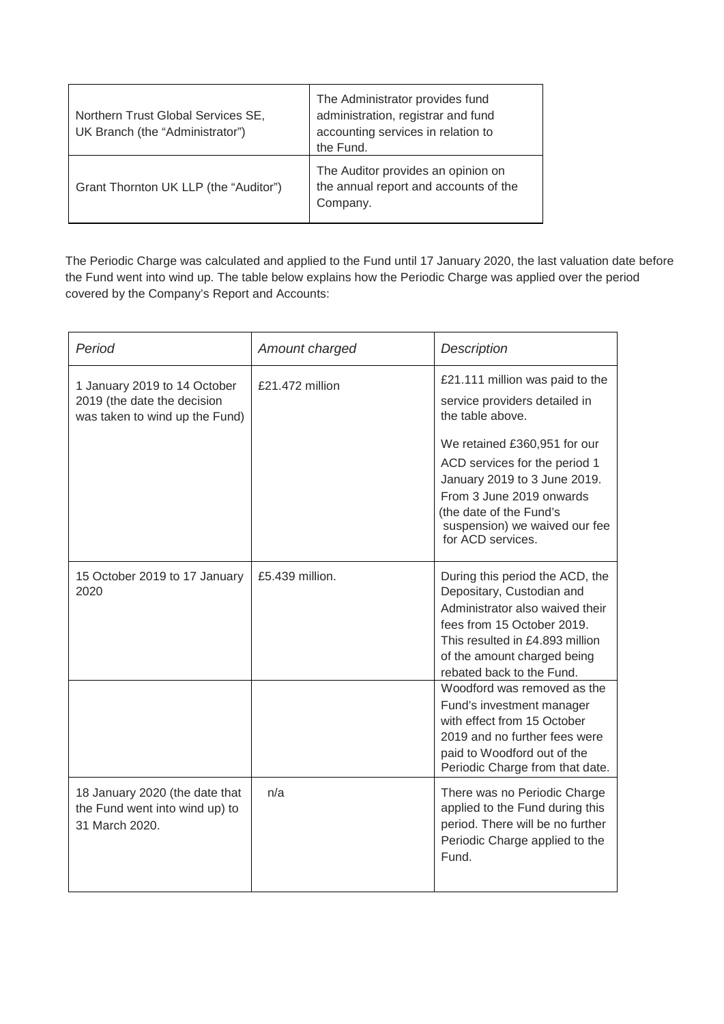| Northern Trust Global Services SE,<br>UK Branch (the "Administrator") | The Administrator provides fund<br>administration, registrar and fund<br>accounting services in relation to<br>the Fund. |
|-----------------------------------------------------------------------|--------------------------------------------------------------------------------------------------------------------------|
| Grant Thornton UK LLP (the "Auditor")                                 | The Auditor provides an opinion on<br>the annual report and accounts of the<br>Company.                                  |

The Periodic Charge was calculated and applied to the Fund until 17 January 2020, the last valuation date before the Fund went into wind up. The table below explains how the Periodic Charge was applied over the period covered by the Company's Report and Accounts:

| Period                                                                                        | Amount charged  | <b>Description</b>                                                                                                                                                                                                                                                                                 |  |
|-----------------------------------------------------------------------------------------------|-----------------|----------------------------------------------------------------------------------------------------------------------------------------------------------------------------------------------------------------------------------------------------------------------------------------------------|--|
| 1 January 2019 to 14 October<br>2019 (the date the decision<br>was taken to wind up the Fund) | £21.472 million | £21.111 million was paid to the<br>service providers detailed in<br>the table above.<br>We retained £360,951 for our<br>ACD services for the period 1<br>January 2019 to 3 June 2019.<br>From 3 June 2019 onwards<br>(the date of the Fund's<br>suspension) we waived our fee<br>for ACD services. |  |
| 15 October 2019 to 17 January<br>2020                                                         | £5.439 million. | During this period the ACD, the<br>Depositary, Custodian and<br>Administrator also waived their<br>fees from 15 October 2019.<br>This resulted in £4.893 million<br>of the amount charged being<br>rebated back to the Fund.<br>Woodford was removed as the                                        |  |
|                                                                                               |                 | Fund's investment manager<br>with effect from 15 October<br>2019 and no further fees were<br>paid to Woodford out of the<br>Periodic Charge from that date.                                                                                                                                        |  |
| 18 January 2020 (the date that<br>the Fund went into wind up) to<br>31 March 2020.            | n/a             | There was no Periodic Charge<br>applied to the Fund during this<br>period. There will be no further<br>Periodic Charge applied to the<br>Fund.                                                                                                                                                     |  |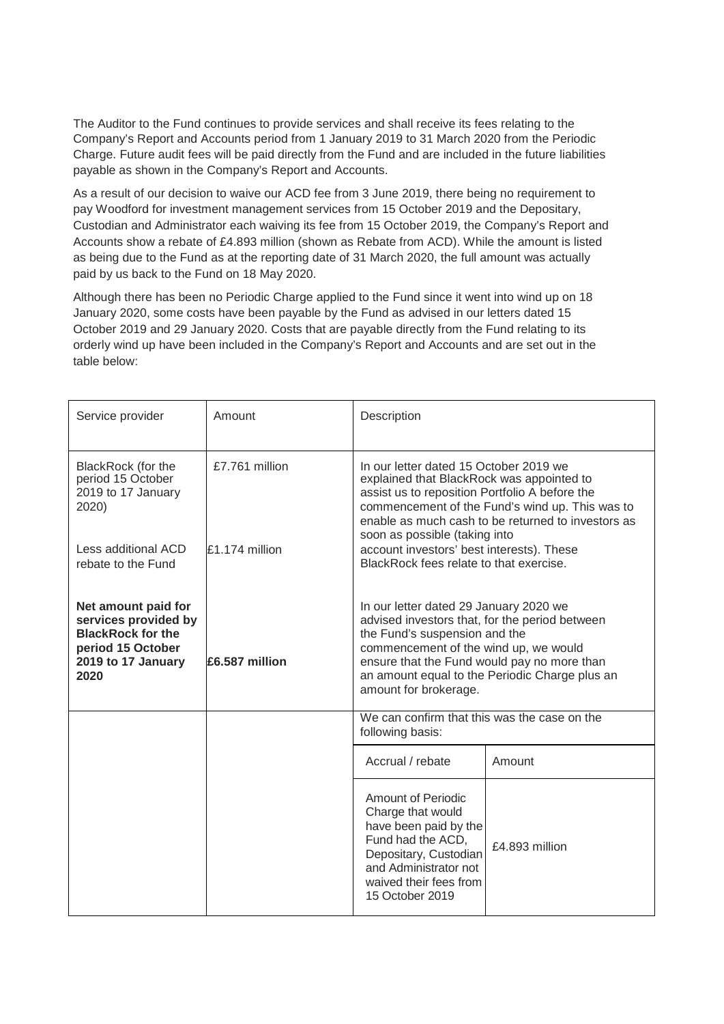The Auditor to the Fund continues to provide services and shall receive its fees relating to the Company's Report and Accounts period from 1 January 2019 to 31 March 2020 from the Periodic Charge. Future audit fees will be paid directly from the Fund and are included in the future liabilities payable as shown in the Company's Report and Accounts.

As a result of our decision to waive our ACD fee from 3 June 2019, there being no requirement to pay Woodford for investment management services from 15 October 2019 and the Depositary, Custodian and Administrator each waiving its fee from 15 October 2019, the Company's Report and Accounts show a rebate of £4.893 million (shown as Rebate from ACD). While the amount is listed as being due to the Fund as at the reporting date of 31 March 2020, the full amount was actually paid by us back to the Fund on 18 May 2020.

Although there has been no Periodic Charge applied to the Fund since it went into wind up on 18 January 2020, some costs have been payable by the Fund as advised in our letters dated 15 October 2019 and 29 January 2020. Costs that are payable directly from the Fund relating to its orderly wind up have been included in the Company's Report and Accounts and are set out in the table below:

| Service provider                                                                                                           | Amount           | Description                                                                                                                                                                                                                                                                                  |                |
|----------------------------------------------------------------------------------------------------------------------------|------------------|----------------------------------------------------------------------------------------------------------------------------------------------------------------------------------------------------------------------------------------------------------------------------------------------|----------------|
| BlackRock (for the<br>period 15 October<br>2019 to 17 January<br>2020)                                                     | £7.761 million   | In our letter dated 15 October 2019 we<br>explained that BlackRock was appointed to<br>assist us to reposition Portfolio A before the<br>commencement of the Fund's wind up. This was to<br>enable as much cash to be returned to investors as                                               |                |
| Less additional ACD<br>rebate to the Fund                                                                                  | $£1.174$ million | soon as possible (taking into<br>account investors' best interests). These<br>BlackRock fees relate to that exercise.                                                                                                                                                                        |                |
| Net amount paid for<br>services provided by<br><b>BlackRock for the</b><br>period 15 October<br>2019 to 17 January<br>2020 | £6.587 million   | In our letter dated 29 January 2020 we<br>advised investors that, for the period between<br>the Fund's suspension and the<br>commencement of the wind up, we would<br>ensure that the Fund would pay no more than<br>an amount equal to the Periodic Charge plus an<br>amount for brokerage. |                |
|                                                                                                                            |                  | We can confirm that this was the case on the<br>following basis:                                                                                                                                                                                                                             |                |
|                                                                                                                            |                  | Accrual / rebate                                                                                                                                                                                                                                                                             | Amount         |
|                                                                                                                            |                  | <b>Amount of Periodic</b><br>Charge that would<br>have been paid by the<br>Fund had the ACD,<br>Depositary, Custodian<br>and Administrator not<br>waived their fees from<br>15 October 2019                                                                                                  | £4,893 million |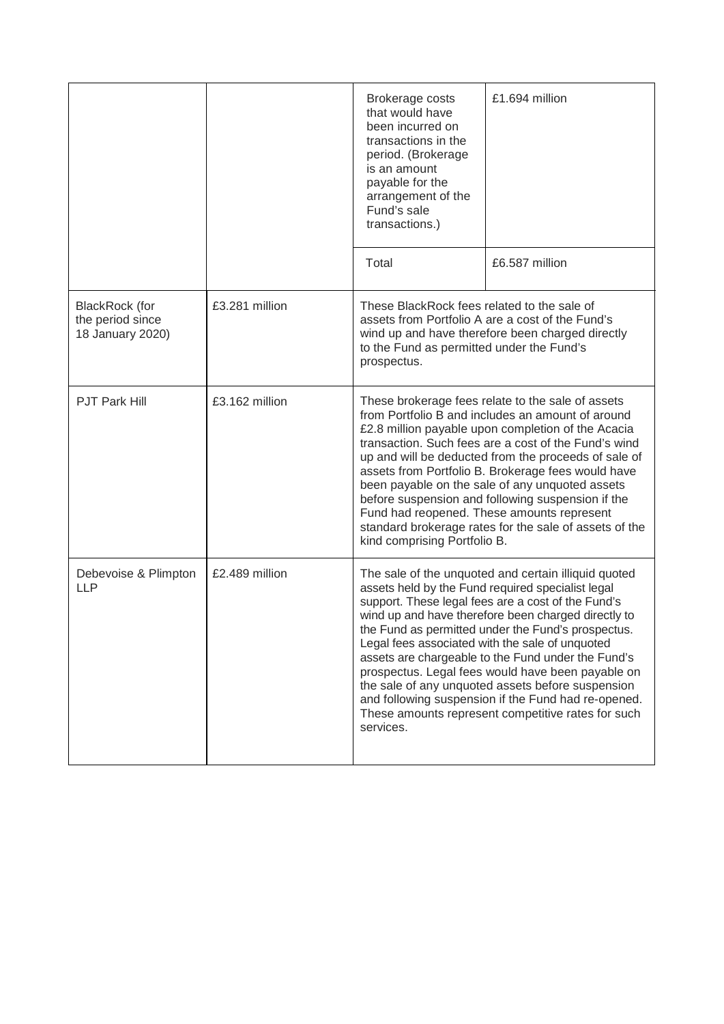|                                                               |                | Brokerage costs<br>that would have<br>been incurred on<br>transactions in the<br>period. (Brokerage<br>is an amount<br>payable for the<br>arrangement of the<br>Fund's sale<br>transactions.)                                                                                                                                                                                                                                                                                                                                                                                                                             | £1.694 million |
|---------------------------------------------------------------|----------------|---------------------------------------------------------------------------------------------------------------------------------------------------------------------------------------------------------------------------------------------------------------------------------------------------------------------------------------------------------------------------------------------------------------------------------------------------------------------------------------------------------------------------------------------------------------------------------------------------------------------------|----------------|
|                                                               |                | Total                                                                                                                                                                                                                                                                                                                                                                                                                                                                                                                                                                                                                     | £6.587 million |
| <b>BlackRock</b> (for<br>the period since<br>18 January 2020) | £3.281 million | These BlackRock fees related to the sale of<br>assets from Portfolio A are a cost of the Fund's<br>wind up and have therefore been charged directly<br>to the Fund as permitted under the Fund's<br>prospectus.                                                                                                                                                                                                                                                                                                                                                                                                           |                |
| <b>PJT Park Hill</b>                                          | £3.162 million | These brokerage fees relate to the sale of assets<br>from Portfolio B and includes an amount of around<br>£2.8 million payable upon completion of the Acacia<br>transaction. Such fees are a cost of the Fund's wind<br>up and will be deducted from the proceeds of sale of<br>assets from Portfolio B. Brokerage fees would have<br>been payable on the sale of any unquoted assets<br>before suspension and following suspension if the<br>Fund had reopened. These amounts represent<br>standard brokerage rates for the sale of assets of the<br>kind comprising Portfolio B.                                        |                |
| Debevoise & Plimpton<br><b>LLP</b>                            | £2.489 million | The sale of the unquoted and certain illiquid quoted<br>assets held by the Fund required specialist legal<br>support. These legal fees are a cost of the Fund's<br>wind up and have therefore been charged directly to<br>the Fund as permitted under the Fund's prospectus.<br>Legal fees associated with the sale of unquoted<br>assets are chargeable to the Fund under the Fund's<br>prospectus. Legal fees would have been payable on<br>the sale of any unquoted assets before suspension<br>and following suspension if the Fund had re-opened.<br>These amounts represent competitive rates for such<br>services. |                |